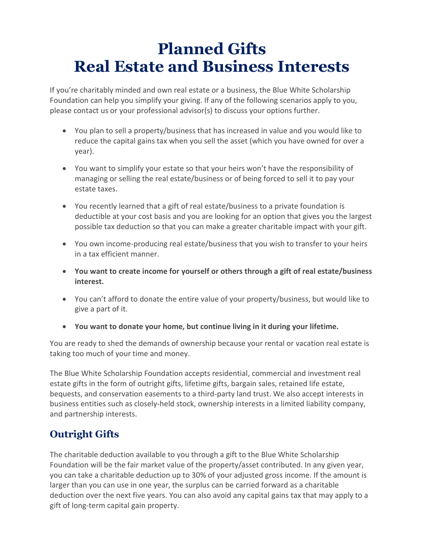# **Planned Gifts Real Estate and Business Interests**

If you're charitably minded and own real estate or a business, the Blue White Scholarship Foundation can help you simplify your giving. If any of the following scenarios apply to you, please contact us or your professional advisor(s) to discuss your options further.

- You plan to sell a property/business that has increased in value and you would like to reduce the capital gains tax when you sell the asset (which you have owned for over a year).
- You want to simplify your estate so that your heirs won't have the responsibility of managing or selling the real estate/business or of being forced to sell it to pay your estate taxes.
- You recently learned that a gift of real estate/business to a private foundation is deductible at your cost basis and you are looking for an option that gives you the largest possible tax deduction so that you can make a greater charitable impact with your gift.
- You own income-producing real estate/business that you wish to transfer to your heirs in a tax efficient manner.
- **You want to create income for yourself or others through a gift of real estate/business interest.**
- You can't afford to donate the entire value of your property/business, but would like to give a part of it.
- **You want to donate your home, but continue living in it during your lifetime.**

You are ready to shed the demands of ownership because your rental or vacation real estate is taking too much of your time and money.

The Blue White Scholarship Foundation accepts residential, commercial and investment real estate gifts in the form of outright gifts, lifetime gifts, bargain sales, retained life estate, bequests, and conservation easements to a third-party land trust. We also accept interests in business entities such as closely-held stock, ownership interests in a limited liability company, and partnership interests.

## **Outright Gifts**

The charitable deduction available to you through a gift to the Blue White Scholarship Foundation will be the fair market value of the property/asset contributed. In any given year, you can take a charitable deduction up to 30% of your adjusted gross income. If the amount is larger than you can use in one year, the surplus can be carried forward as a charitable deduction over the next five years. You can also avoid any capital gains tax that may apply to a gift of long-term capital gain property.